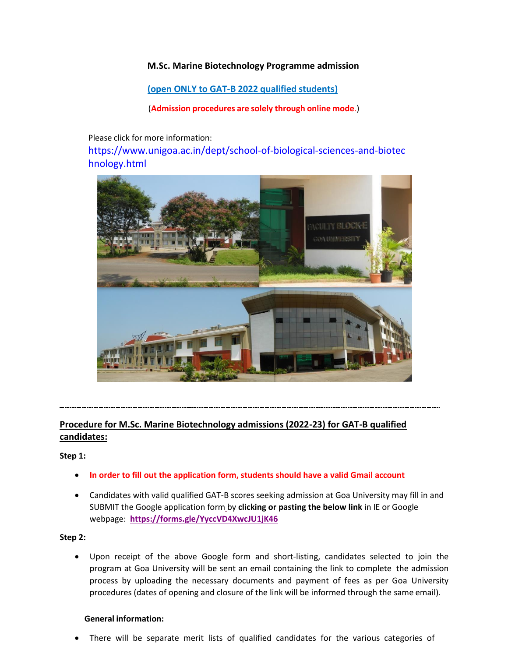## **M.Sc. Marine Biotechnology Programme admission**

# **(open ONLY to GAT-B 2022 qualified students)**

(**Admission procedures are solely through online mode**.)

Please click for more information:

[https://www.unigoa.ac.in/dept/school-of-biological-sciences-and-biotec](https://www.unigoa.ac.in/dept/school-of-biological-sciences-and-biotechnology.html) hnology.html



**Procedure for M.Sc. Marine Biotechnology admissions (2022-23) for GAT-B qualified**

### **candidates:**

**Step 1:**

- **In order to fill out the application form, students should have a valid Gmail account**
- Candidates with valid qualified GAT-B scores seeking admission at Goa University may fill in and SUBMIT the Google application form by **clicking or pasting the below link** in IE or Google webpage: **<https://forms.gle/YyccVD4XwcJU1jK46>**

### **Step 2:**

 Upon receipt of the above Google form and short-listing, candidates selected to join the program at Goa University will be sent an email containing the link to complete the admission process by uploading the necessary documents and payment of fees as per Goa University procedures (dates of opening and closure of the link will be informed through the same email).

### <span id="page-0-0"></span> **General information:**

There will be separate merit lists of qualified candidates for the various categories of